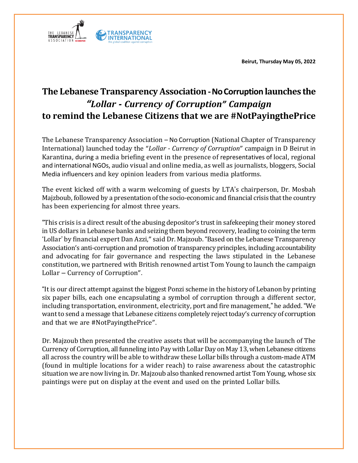**Beirut, Thursday May 05, 2022**



## **The Lebanese Transparency Association -No Corruption launches the** *"Lollar - Currency of Corruption" Campaign* **to remind the Lebanese Citizens that we are #NotPayingthePrice**

The Lebanese Transparency Association – No Corruption (National Chapter of Transparency International) launched today the "*Lollar - Currency of Corruption*" campaign in D Beirut in Karantina, during a media briefing event in the presence of representatives of local, regional and international NGOs, audio visual and online media, as well as journalists, bloggers, Social Media influencers and key opinion leaders from various media platforms.

The event kicked off with a warm welcoming of guests by LTA's chairperson, Dr. Mosbah Majzboub, followed by a presentation of the socio-economic and financial crisis that the country has been experiencing for almost three years.

"This crisis is a direct result of the abusing depositor's trust in safekeeping their money stored in US dollars in Lebanese banks and seizing them beyond recovery, leading to coining the term 'Lollar' by financial expert Dan Azzi," said Dr. Majzoub. "Based on the Lebanese Transparency Association's anti-corruption and promotion of transparency principles, including accountability and advocating for fair governance and respecting the laws stipulated in the Lebanese constitution, we partnered with British renowned artist Tom Young to launch the campaign Lollar – Currency of Corruption".

"It is our direct attempt against the biggest Ponzi scheme in the history of Lebanon by printing six paper bills, each one encapsulating a symbol of corruption through a different sector, including transportation, environment, electricity, port and fire management," he added. "We want to send a message that Lebanese citizens completely reject today's currency of corruption and that we are #NotPayingthePrice".

Dr. Majzoub then presented the creative assets that will be accompanying the launch of The Currency of Corruption, all funneling into Pay with LollarDay on May 13, when Lebanese citizens all across the country will be able to withdraw these Lollar bills through a custom-made ATM (found in multiple locations for a wider reach) to raise awareness about the catastrophic situation we are now living in. Dr. Majzoub also thanked renowned artist Tom Young, whose six paintings were put on display at the event and used on the printed Lollar bills.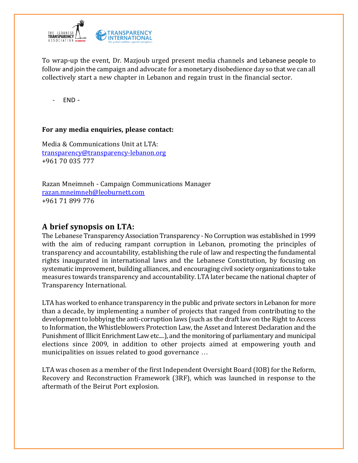

To wrap-up the event, Dr. Mazjoub urged present media channels and Lebanese people to follow and join the campaign and advocate for a monetary disobedience day so that we can all collectively start a new chapter in Lebanon and regain trust in the financial sector.

- END -

## **For any media enquiries, please contact:**

Media & Communications Unit at LTA: [transparency@transparency-lebanon.or](mailto:transparency@transparency-lebanon.org)g +961 70 035 777

Razan Mneimneh - Campaign Communications Manager [razan.mneimneh@leoburnett.com](mailto:razan.mneimneh@leoburnett.com) +961 71 899 776

## **A brief synopsis on LTA:**

The Lebanese Transparency Association Transparency - No Corruption was established in 1999 with the aim of reducing rampant corruption in Lebanon, promoting the principles of transparency and accountability, establishing the rule of law and respecting the fundamental rights inaugurated in international laws and the Lebanese Constitution, by focusing on systematic improvement, building alliances, and encouraging civil society organizations to take measures towards transparency and accountability. LTA later became the national chapter of Transparency International.

LTA has worked to enhance transparency in the public and private sectors in Lebanon for more than a decade, by implementing a number of projects that ranged from contributing to the development to lobbying the anti-corruption laws (such as the draft law on the Right to Access to Information, the Whistleblowers Protection Law, the Asset and Interest Declaration and the Punishment of Illicit Enrichment Law etc....), and the monitoring of parliamentary and municipal elections since 2009, in addition to other projects aimed at empowering youth and municipalities on issues related to good governance …

LTA was chosen as a member of the first Independent Oversight Board (IOB) for the Reform, Recovery and Reconstruction Framework (3RF), which was launched in response to the aftermath of the Beirut Port explosion.